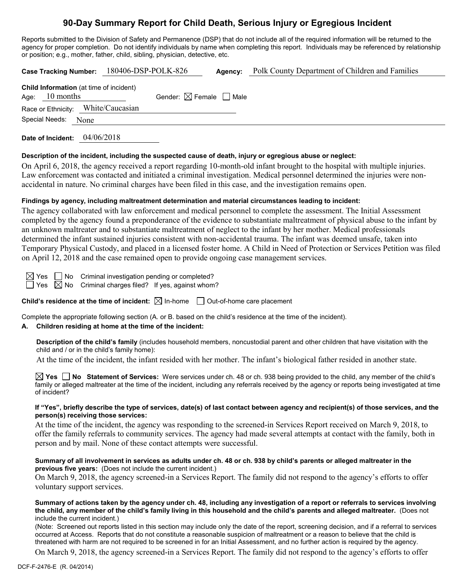# **90-Day Summary Report for Child Death, Serious Injury or Egregious Incident**

Reports submitted to the Division of Safety and Permanence (DSP) that do not include all of the required information will be returned to the agency for proper completion. Do not identify individuals by name when completing this report. Individuals may be referenced by relationship or position; e.g., mother, father, child, sibling, physician, detective, etc.

|  |                     |  | Case Tracking Number: 180406-DSP-POLK-826      |                                        | Agency: | Polk County Department of Children and Families |
|--|---------------------|--|------------------------------------------------|----------------------------------------|---------|-------------------------------------------------|
|  | Age: $10$ months    |  | <b>Child Information</b> (at time of incident) | Gender: $\boxtimes$ Female $\Box$ Male |         |                                                 |
|  |                     |  | Race or Ethnicity: White/Caucasian             |                                        |         |                                                 |
|  | Special Needs: None |  |                                                |                                        |         |                                                 |
|  |                     |  |                                                |                                        |         |                                                 |

**Date of Incident:** 04/06/2018

#### **Description of the incident, including the suspected cause of death, injury or egregious abuse or neglect:**

On April 6, 2018, the agency received a report regarding 10-month-old infant brought to the hospital with multiple injuries. Law enforcement was contacted and initiated a criminal investigation. Medical personnel determined the injuries were nonaccidental in nature. No criminal charges have been filed in this case, and the investigation remains open.

## **Findings by agency, including maltreatment determination and material circumstances leading to incident:**

The agency collaborated with law enforcement and medical personnel to complete the assessment. The Initial Assessment completed by the agency found a preponderance of the evidence to substantiate maltreatment of physical abuse to the infant by an unknown maltreater and to substantiate maltreatment of neglect to the infant by her mother. Medical professionals determined the infant sustained injuries consistent with non-accidental trauma. The infant was deemed unsafe, taken into Temporary Physical Custody, and placed in a licensed foster home. A Child in Need of Protection or Services Petition was filed on April 12, 2018 and the case remained open to provide ongoing case management services.

 $\boxtimes$  Yes  $\Box$  No Criminal investigation pending or completed?

 $\Box$  Yes  $\boxtimes$  No Criminal charges filed? If yes, against whom?

**Child's residence at the time of incident:**  $\boxtimes$  In-home  $\Box$  Out-of-home care placement

Complete the appropriate following section (A. or B. based on the child's residence at the time of the incident).

## **A. Children residing at home at the time of the incident:**

**Description of the child's family** (includes household members, noncustodial parent and other children that have visitation with the child and / or in the child's family home):

At the time of the incident, the infant resided with her mother. The infant's biological father resided in another state.

**Yes No Statement of Services:** Were services under ch. 48 or ch. 938 being provided to the child, any member of the child's family or alleged maltreater at the time of the incident, including any referrals received by the agency or reports being investigated at time of incident?

#### **If "Yes", briefly describe the type of services, date(s) of last contact between agency and recipient(s) of those services, and the person(s) receiving those services:**

At the time of the incident, the agency was responding to the screened-in Services Report received on March 9, 2018, to offer the family referrals to community services. The agency had made several attempts at contact with the family, both in person and by mail. None of these contact attempts were successful.

#### **Summary of all involvement in services as adults under ch. 48 or ch. 938 by child's parents or alleged maltreater in the previous five years:** (Does not include the current incident.)

On March 9, 2018, the agency screened-in a Services Report. The family did not respond to the agency's efforts to offer voluntary support services.

**Summary of actions taken by the agency under ch. 48, including any investigation of a report or referrals to services involving the child, any member of the child's family living in this household and the child's parents and alleged maltreater.** (Does not include the current incident.)

(Note: Screened out reports listed in this section may include only the date of the report, screening decision, and if a referral to services occurred at Access. Reports that do not constitute a reasonable suspicion of maltreatment or a reason to believe that the child is threatened with harm are not required to be screened in for an Initial Assessment, and no further action is required by the agency.

On March 9, 2018, the agency screened-in a Services Report. The family did not respond to the agency's efforts to offer